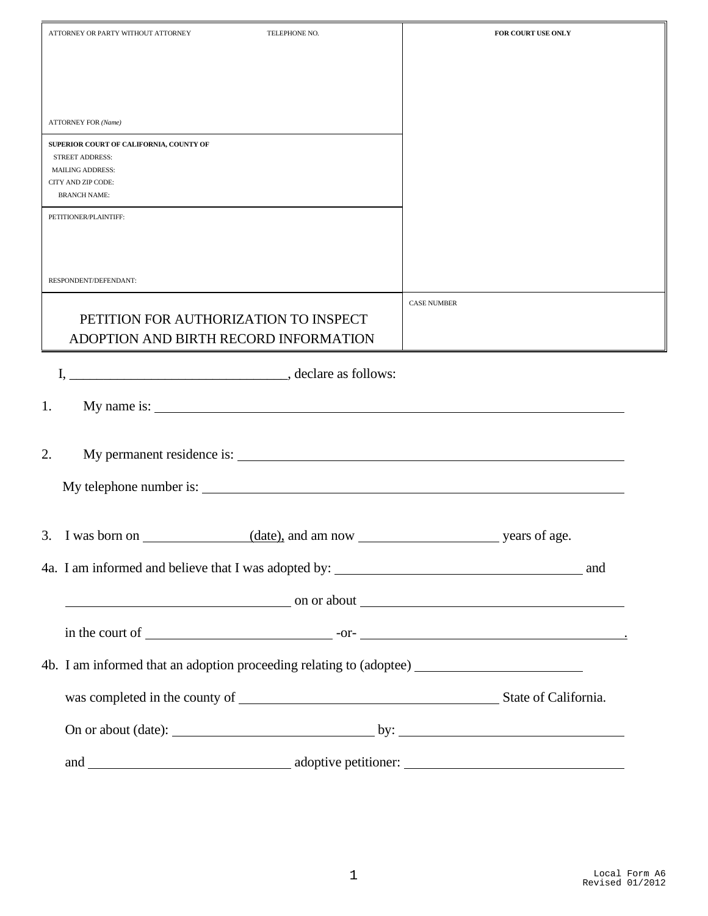| ATTORNEY OR PARTY WITHOUT ATTORNEY<br>TELEPHONE NO.                                                  | FOR COURT USE ONLY |
|------------------------------------------------------------------------------------------------------|--------------------|
|                                                                                                      |                    |
|                                                                                                      |                    |
| <b>ATTORNEY FOR (Name)</b>                                                                           |                    |
| SUPERIOR COURT OF CALIFORNIA, COUNTY OF                                                              |                    |
| <b>STREET ADDRESS:</b><br><b>MAILING ADDRESS:</b>                                                    |                    |
| CITY AND ZIP CODE:<br><b>BRANCH NAME:</b>                                                            |                    |
| PETITIONER/PLAINTIFF:                                                                                |                    |
|                                                                                                      |                    |
| RESPONDENT/DEFENDANT:                                                                                |                    |
|                                                                                                      | <b>CASE NUMBER</b> |
| PETITION FOR AUTHORIZATION TO INSPECT<br>ADOPTION AND BIRTH RECORD INFORMATION                       |                    |
|                                                                                                      |                    |
|                                                                                                      |                    |
| 1.                                                                                                   |                    |
|                                                                                                      |                    |
| 2.                                                                                                   |                    |
| My telephone number is:                                                                              |                    |
|                                                                                                      |                    |
| 3. I was born on $\overline{\phantom{a}}$<br>date), and am now                                       | years of age.      |
|                                                                                                      |                    |
| $\sim$ on or about $\sim$                                                                            |                    |
|                                                                                                      |                    |
| 4b. I am informed that an adoption proceeding relating to (adoptee) ________________________________ |                    |
|                                                                                                      |                    |
|                                                                                                      |                    |
|                                                                                                      |                    |
|                                                                                                      |                    |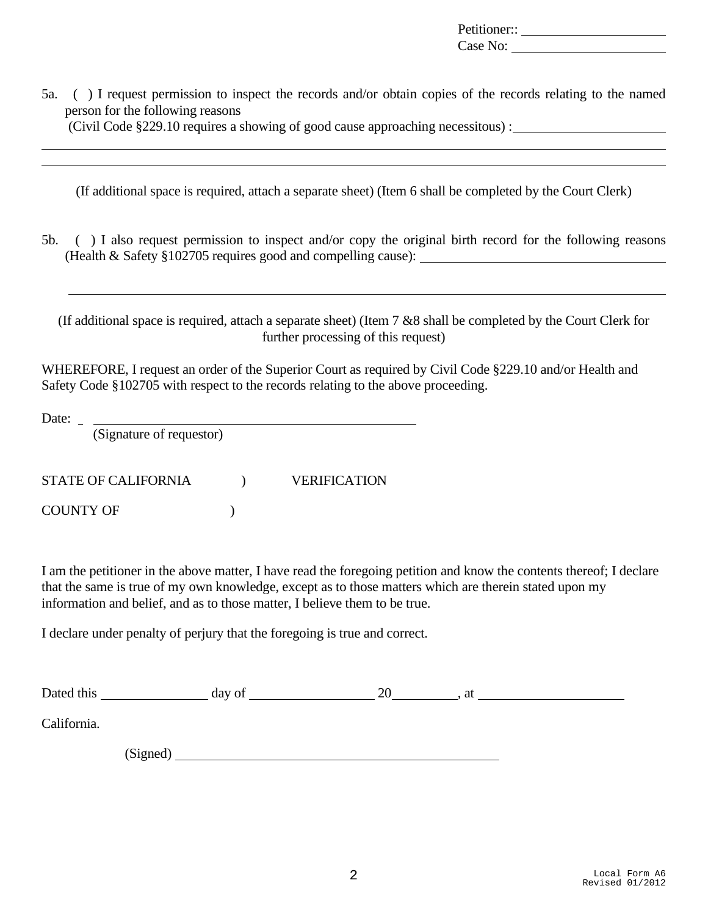Petitioner:: Case No:

5a. ( ) I request permission to inspect the records and/or obtain copies of the records relating to the named person for the following reasons

(Civil Code §229.10 requires a showing of good cause approaching necessitous) :

(If additional space is required, attach a separate sheet) (Item 6 shall be completed by the Court Clerk)

5b. ( ) I also request permission to inspect and/or copy the original birth record for the following reasons (Health & Safety §102705 requires good and compelling cause):

(If additional space is required, attach a separate sheet) (Item 7 &8 shall be completed by the Court Clerk for further processing of this request)

WHEREFORE, I request an order of the Superior Court as required by Civil Code §229.10 and/or Health and Safety Code §102705 with respect to the records relating to the above proceeding.

Date:

(Signature of requestor)

STATE OF CALIFORNIA  $VERIFICATION$ 

COUNTY OF  $\qquad \qquad$  )

I am the petitioner in the above matter, I have read the foregoing petition and know the contents thereof; I declare that the same is true of my own knowledge, except as to those matters which are therein stated upon my information and belief, and as to those matter, I believe them to be true.

I declare under penalty of perjury that the foregoing is true and correct.

| Dated this  |          | day of | 20 | at |
|-------------|----------|--------|----|----|
| California. |          |        |    |    |
|             | (Signed) |        |    |    |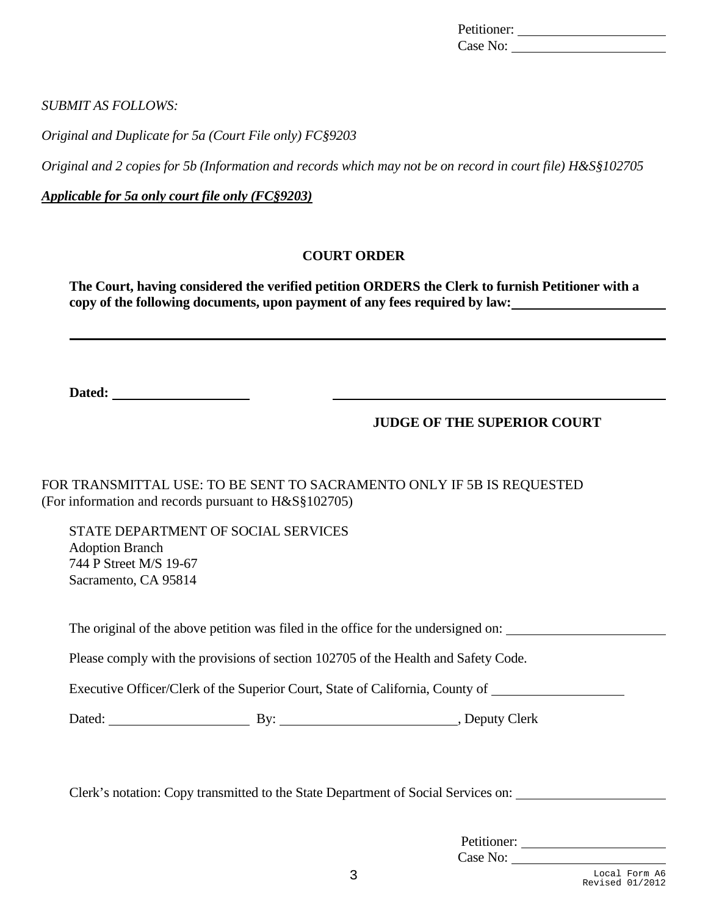| Petitioner: |  |
|-------------|--|
| Case No:    |  |

*SUBMIT AS FOLLOWS:*

*Original and Duplicate for 5a (Court File only) FC§9203*

*Original and 2 copies for 5b (Information and records which may not be on record in court file) H&S§102705*

*Applicable for 5a only court file only (FC§9203)*

#### **COURT ORDER**

**The Court, having considered the verified petition ORDERS the Clerk to furnish Petitioner with a copy of the following documents, upon payment of any fees required by law:**

**Dated:** 

#### **JUDGE OF THE SUPERIOR COURT**

FOR TRANSMITTAL USE: TO BE SENT TO SACRAMENTO ONLY IF 5B IS REQUESTED (For information and records pursuant to H&S§102705)

STATE DEPARTMENT OF SOCIAL SERVICES Adoption Branch 744 P Street M/S 19-67 Sacramento, CA 95814

The original of the above petition was filed in the office for the undersigned on:

Please comply with the provisions of section 102705 of the Health and Safety Code.

Executive Officer/Clerk of the Superior Court, State of California, County of

Dated: By: By: By: Deputy Clerk

Clerk's notation: Copy transmitted to the State Department of Social Services on:

| Petitioner: |  |
|-------------|--|
| Case No:    |  |